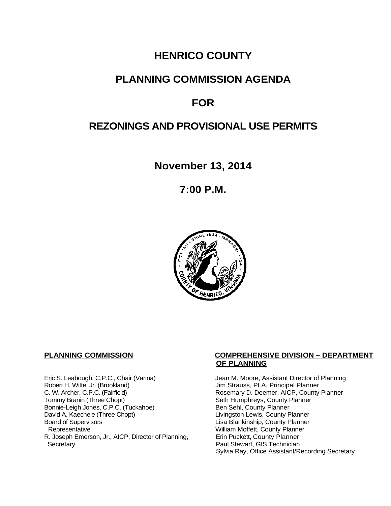# **HENRICO COUNTY**

# **PLANNING COMMISSION AGENDA**

# **FOR**

# **REZONINGS AND PROVISIONAL USE PERMITS**

**November 13, 2014**

**7:00 P.M.**



Eric S. Leabough, C.P.C., Chair (Varina) Jean M. Moore, Assistant Director of Planning<br>Robert H. Witte, Jr. (Brookland) Jim Strauss, PLA, Principal Planner Robert H. Witte, Jr. (Brookland)<br>C. W. Archer, C.P.C. (Fairfield) G. W. Archer, C.P.C. (Fairfield) C. W. Archer, C.P.C. (Fairfield) C. W. Archer, C.P.C. (Fairfield) Rosemary D. Deemer, AICP, County Planner<br>Tommy Branin (Three Chopt) Seth Humphreys, County Planner Bonnie-Leigh Jones, C.P.C. (Tuckahoe)<br>David A. Kaechele (Three Chopt) David A. Kaechele (Three Chopt) Livingston Lewis, County Planner<br>Board of Supervisors County Planner<br>Lisa Blankinship, County Planner Board of Supervisors Lisa Blankinship, County Planner R. Joseph Emerson, Jr., AICP, Director of Planning, Secretary

# **PLANNING COMMISSION COMPREHENSIVE DIVISION – DEPARTMENT OF PLANNING**

Seth Humphreys, County Planner<br>Ben Sehl, County Planner William Moffett, County Planner<br>Erin Puckett, County Planner Paul Stewart, GIS Technician Sylvia Ray, Office Assistant/Recording Secretary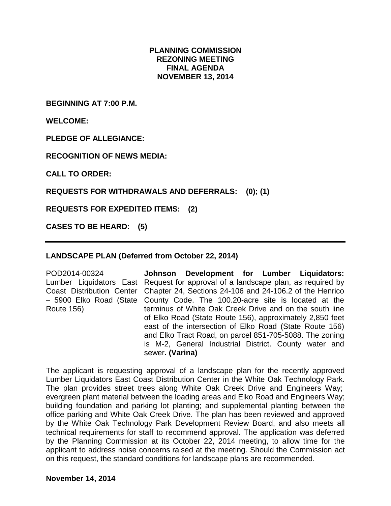# **PLANNING COMMISSION REZONING MEETING FINAL AGENDA NOVEMBER 13, 2014**

**BEGINNING AT 7:00 P.M.**

**WELCOME:**

**PLEDGE OF ALLEGIANCE:**

**RECOGNITION OF NEWS MEDIA:**

**CALL TO ORDER:**

**REQUESTS FOR WITHDRAWALS AND DEFERRALS: (0); (1)**

**REQUESTS FOR EXPEDITED ITEMS: (2)**

**CASES TO BE HEARD: (5)**

### **LANDSCAPE PLAN (Deferred from October 22, 2014)**

POD2014-00324 Lumber Liquidators East Request for approval of a landscape plan, as required by Coast Distribution Center Chapter 24, Sections 24-106 and 24-106.2 of the Henrico – 5900 Elko Road (State County Code. The 100.20-acre site is located at the Route 156) **Johnson Development for Lumber Liquidators:**  terminus of White Oak Creek Drive and on the south line of Elko Road (State Route 156), approximately 2,850 feet east of the intersection of Elko Road (State Route 156) and Elko Tract Road, on parcel 851-705-5088. The zoning is M-2, General Industrial District. County water and sewer**. (Varina)**

The applicant is requesting approval of a landscape plan for the recently approved Lumber Liquidators East Coast Distribution Center in the White Oak Technology Park. The plan provides street trees along White Oak Creek Drive and Engineers Way; evergreen plant material between the loading areas and Elko Road and Engineers Way; building foundation and parking lot planting; and supplemental planting between the office parking and White Oak Creek Drive. The plan has been reviewed and approved by the White Oak Technology Park Development Review Board, and also meets all technical requirements for staff to recommend approval. The application was deferred by the Planning Commission at its October 22, 2014 meeting, to allow time for the applicant to address noise concerns raised at the meeting. Should the Commission act on this request, the standard conditions for landscape plans are recommended.

**November 14, 2014**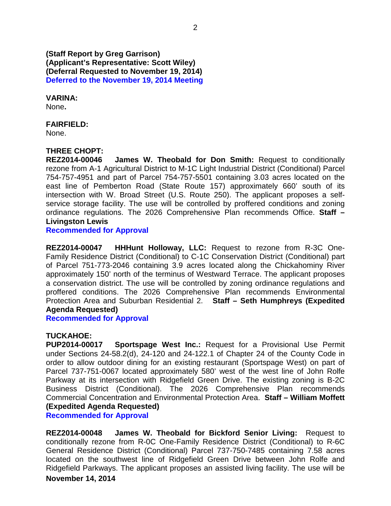**(Staff Report by Greg Garrison) (Applicant's Representative: Scott Wiley) (Deferral Requested to November 19, 2014) Deferred to the November 19, 2014 Meeting**

**VARINA:**

None**.** 

### **FAIRFIELD:**

None.

## **THREE CHOPT:**

**REZ2014-00046 James W. Theobald for Don Smith:** Request to conditionally rezone from A-1 Agricultural District to M-1C Light Industrial District (Conditional) Parcel 754-757-4951 and part of Parcel 754-757-5501 containing 3.03 acres located on the east line of Pemberton Road (State Route 157) approximately 660' south of its intersection with W. Broad Street (U.S. Route 250). The applicant proposes a selfservice storage facility. The use will be controlled by proffered conditions and zoning ordinance regulations. The 2026 Comprehensive Plan recommends Office. **Staff – Livingston Lewis**

**Recommended for Approval**

**REZ2014-00047 HHHunt Holloway, LLC:** Request to rezone from R-3C One-Family Residence District (Conditional) to C-1C Conservation District (Conditional) part of Parcel 751-773-2046 containing 3.9 acres located along the Chickahominy River approximately 150' north of the terminus of Westward Terrace. The applicant proposes a conservation district. The use will be controlled by zoning ordinance regulations and proffered conditions. The 2026 Comprehensive Plan recommends Environmental Protection Area and Suburban Residential 2. **Staff – Seth Humphreys (Expedited Agenda Requested)**

**Recommended for Approval**

**TUCKAHOE: Sportspage West Inc.:** Request for a Provisional Use Permit under Sections 24-58.2(d), 24-120 and 24-122.1 of Chapter 24 of the County Code in order to allow outdoor dining for an existing restaurant (Sportspage West) on part of Parcel 737-751-0067 located approximately 580' west of the west line of John Rolfe Parkway at its intersection with Ridgefield Green Drive. The existing zoning is B-2C Business District (Conditional). The 2026 Comprehensive Plan recommends Commercial Concentration and Environmental Protection Area. **Staff – William Moffett (Expedited Agenda Requested)**

**Recommended for Approval**

**REZ2014-00048 James W. Theobald for Bickford Senior Living:** Request to conditionally rezone from R-0C One-Family Residence District (Conditional) to R-6C General Residence District (Conditional) Parcel 737-750-7485 containing 7.58 acres located on the southwest line of Ridgefield Green Drive between John Rolfe and Ridgefield Parkways. The applicant proposes an assisted living facility. The use will be **November 14, 2014**